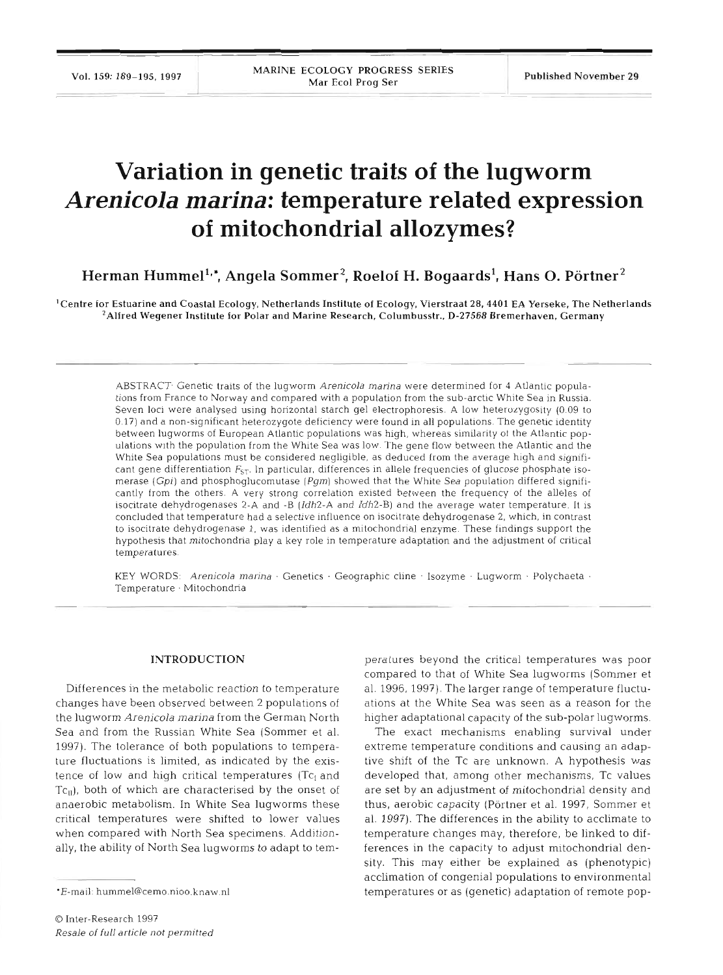# **Variation in genetic traits of the lugworm Arenicola marina: temperature related expression of mitochondrial allozymes?**

Herman Hummel<sup>1,\*</sup>, Angela Sommer<sup>2</sup>, Roelof H. Bogaards<sup>1</sup>, Hans O. Pörtner<sup>2</sup>

<sup>1</sup> Centre for Estuarine and Coastal Ecology, Netherlands Institute of Ecology, Vierstraat 28, 4401 EA Yerseke, The Netherlands  $^2$ Alfred Wegener Institute for Polar and Marine Research, Columbusstr., D-27568 Bremerhaven, Germany

ABSTRACT<sup>.</sup> Genetic traits of the lugworm Arenicola marina were determined for 4 Atlantic populations from France to Norway and compared with a population from the sub-arctic White Sea in Russia. Seven loci were analysed using horizontal starch gel electrophoresis. A low heterozygosity (0.09 to 0.17) and a non-significant heterozygote deficiency were found in all populations. The genetic identity between lugworms of European Atlantic populations was high, whereas similarity of the Atlantic populations with the population from the White Sea was low. The gene flow between the Atlantic and the White Sea populations must be considered negligible, as deduced from the average high and significant gene differentiation  $F_{ST}$ . In particular, differences in allele frequencies of glucose phosphate isomerase (Gpi) and phosphoglucornutase *(Pgm)* showed that the White Sea population differed significantly from the others. A very strong correlation existed between the frequency of the alleles of isocitrate dehydrogenases 2-A and -B  $[Idh2-A$  and  $Idh2-B]$  and the average water temperature. It is concluded that temperature had a selective influence on isocitrate dehydrogenase 2, which, in contrast to isocitrate dehydrogenase 1, was identified as a mitochondrial enzyme. These findings support the hypothesis that mitochondria play a key role in temperature adaptation and the adjustment of critical temperatures.

KEY WORDS: Arenicola marina . Genetics . Geographic cline . Isozyme . Lugworm . Polychaeta . Temperature · Mitochondria

## INTRODUCTION

Differences in the metabolic reaction to temperature changes have been observed between 2 populations of the lugworm *Arenicola marina* from the German North Sea and from the Russian White Sea (Sommer et al. 1997). The tolerance of both populations to temperature fluctuations is limited, as indicated by the existence of low and high critical temperatures ( $Tc_1$  and Tc<sub>II</sub>), both of which are characterised by the onset of anaerobic metabolism. In White Sea lugworms these critical temperatures were shifted to lower values when compared with North Sea specimens. Additionally, the ability of North Sea lugworms to adapt to tem-

peratures beyond the critical temperatures was poor<br>compared to that of White Sea lugworms (Sommer et<br>al. 1996, 1997). The larger range of temperature fluctu-<br>ations at the White Sea was seen as a reason for the<br>higher ada sity. This may either be explained as (phenotypic) acclimation of congenial populations to environmental temperatures or as (genetic) adaptation of remote pop-

<sup>\*</sup>E-mail: hummel@cemo.nioo.knaw.nl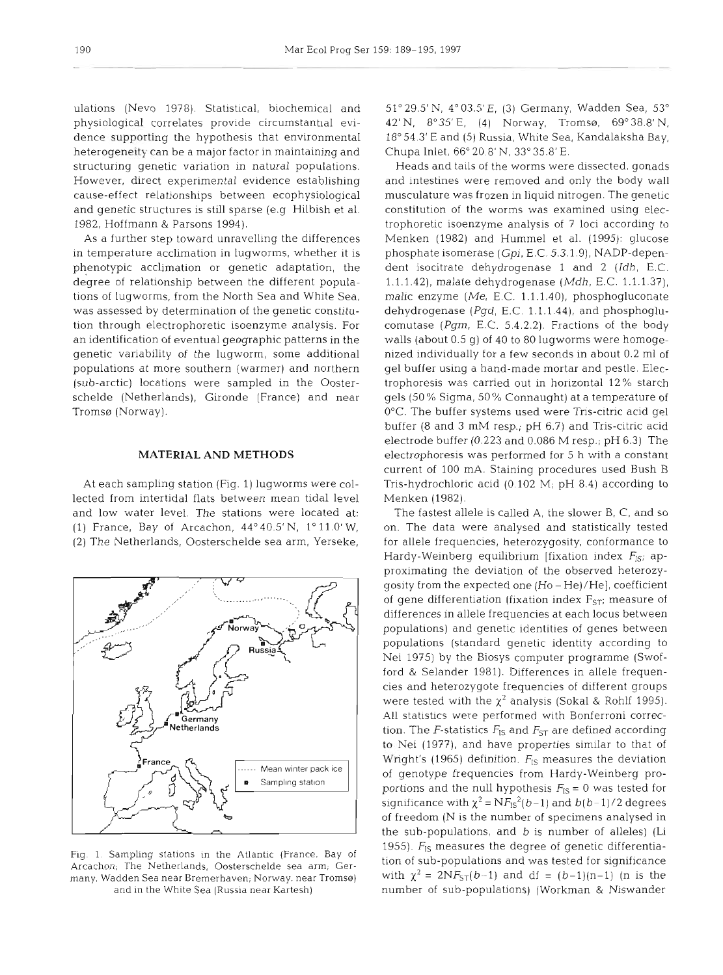ulations (Nevo 1978). Statistical, biochemical and physiological correlates provide circumstantial evidence supporting the hypothesis that environmental heterogeneity can be a major factor in maintaining and structuring genetic variation in natural populations. However, direct experimental evidence establishing cause-effect relationships between ecophysiological and genetic structures is still sparse (e.g Hilbish et al. 1982, Hoffmann & Parsons 1994).

As a further step toward unravelling the differences in temperature acclimation in lugworms, whether it is phenotypic acclimation or genetic adaptation, the degree of relationship between the different populations of lugworms, from the North Sea and White Sea, was assessed by determination of the genetic constitution through electrophoretic isoenzyme analysis. For an identification of eventual geographic patterns in the genetic variability of the lugworm, some additional populations at more southern (warmer) and northern (sub-arctic) locations were sampled in the Oosterschelde (Netherlands), Gironde (France) and near Tromsø (Norway).

# **MATERIAL AND METHODS**

At each sampling station (Fig. l) lugworms were collected from intertidal flats between mean tidal level and low water level. The stations were located at: (1) France, Bay of Arcachon, 44'40.5' N, 1' 11.0' W, (2) The Netherlands, Oosterschelde sea arm, Yerseke,



Arcachon, The Netherlands, Oosterschelde sea arm, Ger-<br>Arcachon, The Netherlands, Oosterschelde sea arm, Germany. Wadden Sea near Bremerhaven, Norway. near Tromsø) with  $\chi^2 = 2NF_{ST}(b-1)$  and df =  $(b-1)(n-1)$  (n is the

51" 29.5' N, 4" 03.5' E, (3) Germany, Wadden Sea, 53" 42' N, 8'35' E, (4) Norway, Tromso, 69" 38.8' N, 18" 54.3' E and (5) Russia, White Sea, Kandalaksha Bay, Chupa Inlet, 66" 20.8' N, 33" 35.8' E.

Heads and tails of the worms were dissected, gonads and intestines were removed and only the body wall musculature was frozen in liquid nitrogen. The genetic constitution of the worms was examined using electrophoretic isoenzyme analysis of 7 loci according to Menken (1982) and Hummel et al. (1995): glucose phosphate isomerase (Gpi, E.C. 5.3.1.9), NADP-dependent isocitrate dehydrogenase 1 and 2 (Idh, E.C. 1.1.1.42), malate dehydrogenase (Mdh, E.C. 1.1.1.37), malic enzyme *(Me,* E.C. 1.1.1.40), phosphogluconate dehydrogenase (Pgd, E.C. 1.1.1.44), and phosphoglucomutase  $(Pgm, E.C. 5.4.2.2)$ . Fractions of the body walls (about 0.5 g) of 40 to 80 lugworms were homogenized individually for a few seconds in about 0.2 m1 of gel buffer using a hand-made mortar and pestle. Electrophoresis was carried out in horizontal 12 % starch gels (50 % Sigma, 50 % Connaught) at a temperature of 0°C. The buffer systems used were Tris-citric acid gel buffer (8 and 3 mM resp.; pH 6.7) and Tris-citric acid electrode buffer (0.223 and 0.086 M resp.; pH 6.3) The electrophoresis was performed for 5 h with a constant current of 100 mA. Staining procedures used Bush B Tris-hydrochloric acid (0.102 M; pH 8.4) according to Menken (1982).

The fastest allele is called A, the slower B, C, and so on. The data were analysed and statistically tested for allele frequencies, heterozygosity, conformance to Hardy-Weinberg equilibrium [fixation index  $F_{1S}$ ; approximating the deviation of the observed heterozygosity from the expected one (Ho - He)/He], coefficient of gene differentiation (fixation index  $F_{ST}$ ; measure of differences in allele frequencies at each locus between populations) and genetic identities of genes between populations (standard genetic identity according to Nei 1975) by the Biosys computer programme (Swofford & Selander 1981). Differences in allele frequencies and heterozygote frequencies of different groups were tested with the  $\chi^2$  analysis (Sokal & Rohlf 1995). All statistics were performed with Bonferroni correction. The *F*-statistics  $F_{\text{IS}}$  and  $F_{\text{ST}}$  are defined according to Nei (IQ??), and have properties similar to that of Wright's (1965) definition.  $F_{1S}$  measures the deviation of genotype frequencies from Hardy-Weinberg proportions and the null hypothesis  $F_{IS} = 0$  was tested for significance with  $\chi^2 = N F_{1S}^2(b-1)$  and  $b(b-1)/2$  degrees of freedom (N is the number of specimens analysed in the sub-populations, and  $b$  is number of alleles) (Li 1955).  $F_{\text{IS}}$  measures the degree of genetic differentia-<br>Fig. 1. Sampling stations in the Atlantic (France, Bay of the of sub populations and was toted for significance and in the White Sea (Russia near Kartesh) number of sub-populations) (Workman & Niswander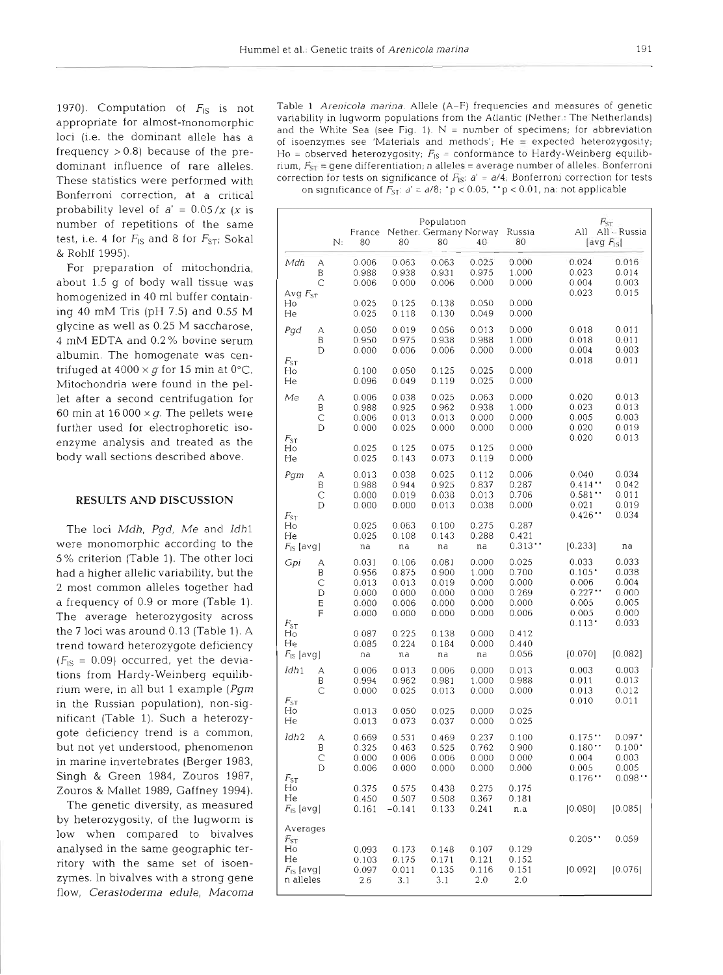1970). Computation of  $F_{\text{IS}}$  is not appropriate for almost-monomorphic loci (1.e. the dominant allele has a frequency  $> 0.8$ ) because of the predominant influence of rare alleles. These statistics were performed with Bonferroni correction, at a critical probability level of  $a' = 0.05/x$  (x is number of repetitions of the same test, i.e. 4 for  $F_{\text{IS}}$  and 8 for  $F_{\text{ST}}$ ; Sokal & Rohlf 1995).

For preparation of mitochondria, about 1.5 g of body wall tissue was homogenized in 40 m1 buffer containing 40 mM Tris (pH 7.5) and **0.55** M glycine as well as 0.25 M saccharose, 4 mM EDTA and 0.2% bovine serum albumin. The homogenate was centrifuged at  $4000 \times q$  for 15 min at  $0^{\circ}$ C. Mitochondria were found in the pellet after a second centrifugation for 60 min at  $16000 \times q$ . The pellets were further used for electrophoretic isoenzyme analysis and treated as the body wall sections described above.

## **RESULTS AND DISCUSSION**

The loci Mdh, Pgd, Me and Idh1 were monomorphic according to the **5%** criterion (Table 1). The other loci had a higher allelic variability, but the 2 most common alleles together had a frequency of 0.9 or more (Table 1). The average heterozygosity across the 7 loci was around 0.13 (Table 1). A trend toward heterozygote deficiency  $(F<sub>IS</sub> = 0.09)$  occurred, yet the deviations from Hardy-Weinberg equilibrium were, in all but 1 example **(Pgrn**  in the Russian population), non-significant (Table 1). Such a heterozygote deficiency trend is a common, but not yet understood, phenomenon in marine invertebrates (Berger 1983, Singh & Green 1984, Zouros 1987, Zouros & Mallet 1989, Gaffney 1994).

The genetic diversity, as measured by heterozygosity, of the lugworm is low when compared to bivalves analysed in the same geographic territory with the same set of isoenzymes. In bivalves with a strong gene flow, Cerastoderma edule, Macoma Table 1 Arenicola marina. Allele (A-F) frequencies and measures of genetic variability in lugworm populations from the Atlantic (Nether.: The Netherlands) and the White Sea (see Fig. 1).  $N =$  number of specimens; for abbreviation of isoenzymes see 'Materials and methods'; He = expected heterozyqosity; Ho = observed heterozygosity;  $F_{\text{IS}}$  = conformance to Hardy-Weinberg equilibrium,  $F_{\rm SF}$  = gene differentiation; n alleles = average number of alleles. Bonferroni correction for tests on significance of  $F_{\text{IS}}$ :  $a' = a/4$ ; Bonferroni correction for tests on significance of  $\vec{F}_{ST}$ :  $d' = d/8$ ;  $\vec{p} < 0.05$ ,  $\vec{p} < 0.01$ , na: not applicable

|                                               |                            | N: | France<br>80                                       | 80                                                 | Population<br>Nether. Germany Norway<br>80         | 40                                                 | Russia<br>80                                       | $F_{\rm ST}$<br>aii<br>[avg F <sub>is</sub> ]                     | All-Russia                                               |
|-----------------------------------------------|----------------------------|----|----------------------------------------------------|----------------------------------------------------|----------------------------------------------------|----------------------------------------------------|----------------------------------------------------|-------------------------------------------------------------------|----------------------------------------------------------|
| Mdh<br>Avg $F_{ST}$                           | А<br>Β<br>С                |    | 0.006<br>0.988<br>0.006                            | 0.063<br>0.938<br>0.000                            | 0.063<br>0.931<br>0.006                            | 0.025<br>0.975<br>0.000                            | 0.000<br>1.000<br>0.000                            | 0.024<br>0.023<br>0.004<br>0.023                                  | 0.016<br>0.014<br>0.003<br>0.015                         |
| Ho<br>He                                      |                            |    | 0.025<br>0.025                                     | 0.125<br>0.118                                     | 0.138<br>0.130                                     | 0.050<br>0.049                                     | 0.000<br>0.000                                     |                                                                   |                                                          |
| Pad<br>$F_{ST}$                               | А<br>Β<br>D                |    | 0.050<br>0.950<br>0.000                            | 0.019<br>0.975<br>0.006                            | 0.056<br>0.938<br>0.006                            | 0.013<br>0.988<br>0.000                            | 0.000<br>1.000<br>0.000                            | 0.018<br>0.018<br>0.004<br>0.018                                  | 0.011<br>0.011<br>0.003<br>0.011                         |
| Ho<br>He                                      |                            |    | 0.100<br>0.096                                     | 0.050<br>0.049                                     | 0.125<br>0.119                                     | 0.025<br>0.025                                     | 0.000<br>0.000                                     |                                                                   |                                                          |
| Me<br>$F_{ST}$                                | А<br>В<br>C<br>D           |    | 0.006<br>0.988<br>0.006<br>0.000                   | 0.038<br>0.925<br>0.013<br>0.025                   | 0.025<br>0.962<br>0.013<br>0.000                   | 0.063<br>0.938<br>0.000<br>0.000                   | 0.000<br>1.000<br>0.000<br>0.000                   | 0.020<br>0.023<br>0.005<br>0.020<br>0.020                         | 0.013<br>0.013<br>0.003<br>0.019<br>0.013                |
| Ho<br>He                                      |                            |    | 0.025<br>0.025                                     | 0.125<br>0.143                                     | 0.075<br>0.073                                     | 0.125<br>0.119                                     | 0.000<br>0.000                                     |                                                                   |                                                          |
| Pqm<br>$F_{ST}$                               | А<br>Β<br>Ċ<br>D           |    | 0.013<br>0.988<br>0.000<br>0.000                   | 0.038<br>0.944<br>0.019<br>0.000                   | 0.025<br>0.925<br>0.038<br>0.013                   | 0.112<br>0.837<br>0.013<br>0.038                   | 0.006<br>0.287<br>0.706<br>0.000                   | 0.040<br>0.414<br>0.581<br>0.021<br>0.426                         | 0.034<br>0.042<br>0.011<br>0.019<br>0.034                |
| Ho<br>He<br>$F_{\text{IS}}$ [avg]             |                            |    | 0.025<br>0.025<br>na                               | 0.063<br>0.108<br>na                               | 0.100<br>0.143<br>na                               | 0.275<br>0.288<br>na                               | 0.287<br>0.421<br>0.313                            | [0.233]                                                           | na                                                       |
| Gpi                                           | А<br>B<br>C<br>D<br>Е<br>F |    | 0.031<br>0.956<br>0.013<br>0.000<br>0.000<br>0.000 | 0.106<br>0.875<br>0.013<br>0.000<br>0.006<br>0.000 | 0.081<br>0.900<br>0.019<br>0.000<br>0.000<br>0.000 | 0.000<br>1.000<br>0.000<br>0.000<br>0.000<br>0.000 | 0.025<br>0.700<br>0.000<br>0.269<br>0.000<br>0.006 | 0.033<br>$0.105$ <sup>*</sup><br>0.006<br>0.227<br>0.005<br>0.005 | 0.033<br>0.038<br>0.004<br>0.000<br>0.005<br>0.000       |
| $F_{ST}$<br>Ho<br>He<br>$F_{\text{IS}}$ [avg] |                            |    | 0.087<br>0.085<br>na                               | 0.225<br>0.224<br>na                               | 0.138<br>0.184<br>na                               | 0.000<br>0.000<br>na                               | 0.412<br>0.440<br>0.056                            | 0.113<br>[0.070]                                                  | 0.033<br>[0.082]                                         |
| Idh1                                          | А<br>Β<br>С                |    | 0.006<br>0.994<br>0.000                            | 0.013<br>0.962<br>0.025                            | 0.006<br>0.981<br>0.013                            | 0.000<br>1.000<br>0.000                            | 0.013<br>0.988<br>0.000                            | 0.003<br>0.011<br>0.013<br>0.010                                  | 0.003<br>0.013<br>0.012<br>0.011                         |
| $F_{ST}$<br>Ho<br>He                          |                            |    | 0.013<br>0.013                                     | 0.050<br>0.073                                     | 0.025<br>0.037                                     | 0.000<br>0.000                                     | 0.025<br>0.025                                     |                                                                   |                                                          |
| Idh <sub>2</sub><br>$F_{ST}$                  | Α<br>В<br>С<br>D           |    | 0.669<br>0.325<br>0.000<br>0.006                   | 0.531<br>0.463<br>0.006<br>0.000                   | 0.469<br>0.525<br>0.006<br>0.000                   | 0.237<br>0.762<br>0.000<br>0.000                   | 0.100<br>0.900<br>0.000<br>0.000                   | 0.175<br>0.180<br>0.004<br>0.005<br>0.176                         | 0.097<br>$0.100$ <sup>*</sup><br>0.003<br>0.005<br>0.098 |
| Ho<br>He<br>$F_{\text{IS}}$ [avg]             |                            |    | 0.375<br>0.450<br>0.161                            | 0.575<br>0.507<br>$-0.141$                         | 0.438<br>0.508<br>0.133                            | 0.275<br>0.367<br>0.241                            | 0.175<br>0.181<br>n.a                              | [0.080]                                                           | [0.085]                                                  |
| Averages<br>$F_{\rm ST}$                      |                            |    |                                                    |                                                    |                                                    |                                                    |                                                    | 0.205                                                             | 0.059                                                    |
| Ho<br>He<br>$F_{\rm IS}$ [avg]<br>n alleles   |                            |    | 0.093<br>0.103<br>0.097<br>2.6                     | 0.173<br>0.175<br>0.011<br>3.1                     | 0.148<br>0.171<br>0.135<br>3.1                     | 0.107<br>0.121<br>0.116<br>2.0                     | 0.129<br>0.152<br>0.151<br>2.0                     | [0.092]                                                           | [0.076]                                                  |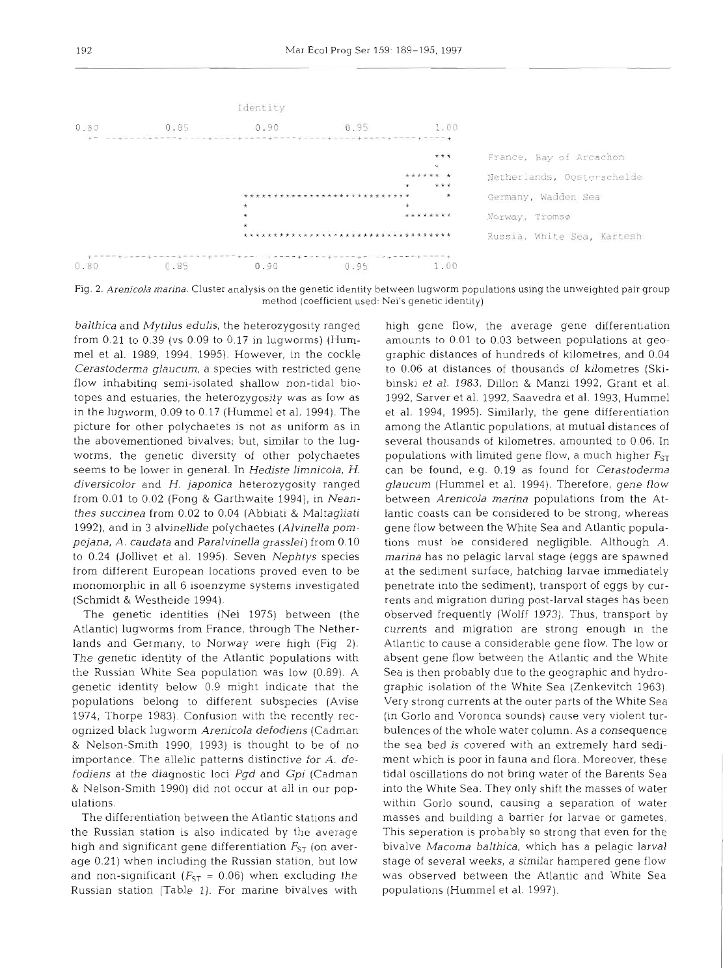

Fig. 2. Arenicola marina. Cluster analysis on the genetic identity between lugworm populations using the unweighted pair group method (coefficient used: Nei's genetic identity)

*balthica* and *Mytilus edulis,* the heterozygosity ranged from 0.21 to 0.39 (vs 0.09 to 0.17 in lugworms) (Humme1 et al. 1989, 1994, 1995). However, in the cockle *Cerastoderma glaucum,* a species with restricted gene flow inhabiting semi-isolated shallow non-tidal biotopes and estuaries, the heterozygosity was as low as in the lugworm, 0.09 to 0.17 (Humrnel et al. 1994). The picture for other polychaetes is not as uniform as in the abovementioned bivalves; but, similar to the lugworms, the genetic diversity of other polychaetes seems to be lower in general. In *Hediste limnicola,* H. *diversicolor* and *H. japonica* heterozygosity ranged from 0.01 to 0.02 (Fong & Garthwaite 1994), in *Neanthes succinea* from 0.02 to 0.04 (Abblati & Maltagliati 1992), and in 3 alvinellide polychaetes *(Alvinella pompejana, A. caudata* and *Paralvinella grasslei)* from 0.10 to 0.24 (Jollivet et al. 1995). Seven *Nephtys* species from different European locations proved even to be monomorphic in all 6 isoenzyme systems investigated (Schmidt & Westheide 1994).

The genetic identities (Nei 1975) between (the Atlantic) lugworms from France, through The Netherlands and Germany, to Norway were high (Fig 2). The genetic identity of the Atlantic populations with the Russian White Sea population was low (0.89). A genetic identity below 0.9 might indicate that the populations belong to different subspecies (Avise 1974, Thorpe 1983). Confusion with the recently recognized black lugworrn *Arenicola defodiens* (Cadman & Nelson-Smith 1990, 1993) is thought to be of no importance. The allelic patterns distinctive for *A. defodiens* at the diagnostic loci *Pgd* and **Gpi** (Cadman & Nelson-Smith 1990) did not occur at all in our population~.

The differentiation between the Atlantic stations and the Russian station is also indicated by the average high and significant gene differentiation  $F_{ST}$  (on average 0.21) when including the Russian station. but low and non-significant ( $F_{ST}$  = 0.06) when excluding the Russian station (Table 1). For marine bivalves with

high gene flow, the average gene differentiation amounts to 0.01 to 0.03 between populations at geographic distances of hundreds of kilometres, and 0.04 to 0.06 at distances of thousands of kilometres (Skibinski et al. 1983, Dillon & Manzi 1992, Grant et al. 1992, Sarver et al. 1992, Saavedra et al. 1993, Hurnmel et al. 1994, 1995). Similarly, the gene differentiation among the Atlantic populations, at mutual distances of several thousands of kilometres, amounted to 0.06. In populations with limited gene flow, a much higher  $F_{ST}$ can be found, e.g. 0.19 as found for *Cerastoderma glaucum* (Hummel et al. 1994). Therefore, gene flow between *Arenicola marina* populations from the Atlantic coasts can be considered to be strong, whereas gene flow between the White Sea and Atlantic populations must be considered negligible. Although *A. marina* has no pelagic larval stage (eggs are spawned at the sediment surface, hatching larvae immediately penetrate into the sediment), transport of eggs by currents and migration during post-larval stages has been observed frequently (Wolff 1973). Thus, transport by currents and migration are strong enough in the Atlantic to cause a considerable gene flow. The low or absent gene flow between the Atlantic and the White Sea is then probably due to the geographic and hydrographic isolation of the White Sea (Zenkevitch 1963). Very strong currents at the outer parts of the White Sea (in Gorlo and Voronca sounds) cause very violent turbulences of the whole water column. As a consequence the sea bed is covered with an extremely hard sediment which is poor in fauna and flora. Moreover, these tidal oscillations do not bring water of the Barents Sea into the White Sea. They only shift the masses of water within Gorlo sound, causing a separation of water masses and building a barrier for larvae or gametes. This seperation is probably so strong that even for the bivalve Macoma balthica, which has a pelagic larval stage of several weeks, a similar hampered gene flow was observed between the Atlantic and White Sea populations (Hummel et al. 1997).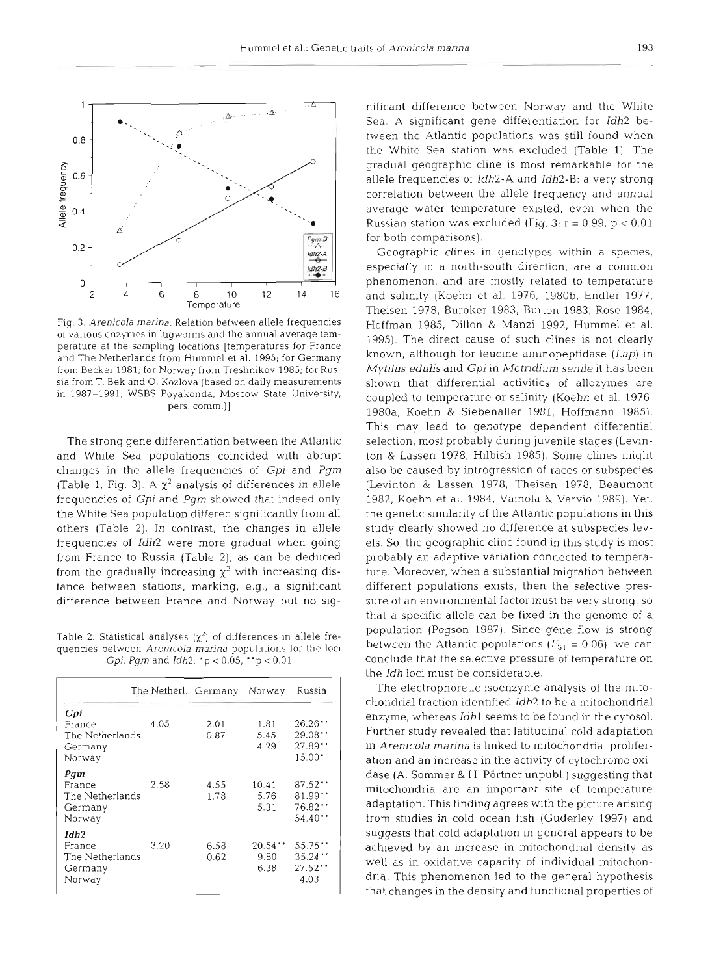

Fig. **3.** *Arenicola marina.* Relation between allele frequencies of various enzymes in lugworms and the annual average temperature at the sampling locations [temperatures for France and The Netherlands from Hummel et al. 1995; for Germany from Becker 1981; for Norway from Treshnikov 1985; for Russia from T. Bek and O. Kozlova (based on daily measurements in 1987-1991. WSBS Poyakonda. Moscow State University, pers. comm.)]

The strong gene differentiation between the Atlantic and White Sea populations coincided with abrupt changes in the allele frequencies of Gpi and *Pgn~*  (Table 1, Fig. 3). A  $\chi^2$  analysis of differences in allele frequencies of **Gpi** and Pgm showed that indeed only the White Sea population differed significantly from all others (Table 2). In contrast, the changes in allele frequencies of Idh2 were more gradual when going from France to Russia (Table 2), as can be deduced from the gradually increasing  $\chi^2$  with increasing distance between stations, marking, e.g., a significant difference between France and Norway but no sig-

Table 2. Statistical analyses  $(\chi^2)$  of differences in allele frequencies between *Arenicola marina* populations for the loci **Gpi,** *Pgm* and *ldh2.* 'p < 0.05, "p < 0.01

|                  |      | The Netherl. Germany | Norway          | Russia          |
|------------------|------|----------------------|-----------------|-----------------|
| Gpi              |      |                      |                 |                 |
| France           | 4.05 | 2.01                 | 1.81            | $26.26$         |
| The Netherlands  |      | 0.87                 | 5.45            | 29.08           |
| Germany          |      |                      | 4.29            | 27.89           |
| Norway           |      |                      |                 | $15.00^{\circ}$ |
| Pam              |      |                      |                 |                 |
| France           | 2.58 | 4.55                 | 10.41           | 87.52           |
| The Netherlands  |      | 1.78                 | 5.76            | 81.99           |
| Germany          |      |                      | 5.31            | 76.82           |
| Norway           |      |                      |                 | 54.40 $\cdot$   |
| Idh <sub>2</sub> |      |                      |                 |                 |
| France           | 3.20 | 6.58                 | $20.54$ $\cdot$ | 55.75           |
| The Netherlands  |      | 0.62                 | 9.80            | 35.24           |
| Germany          |      |                      | 6.38            | 27.52           |
| Norway           |      |                      |                 | 4.03            |

nificant difference between Norway and the White Sea. A significant gene differentiation for *Idh*2 between the Atlantic populations was still found when the White Sea station was excluded (Table 1). The gradual geographic cline is most remarkable for the allele frequencies of Idh2-A and Idh2-B: a very strong correlation between the allele frequency and annual average water temperature existed, even when the Russian station was excluded (Fig. 3;  $r = 0.99$ ,  $p < 0.01$ ) for both comparisons).

Geographic clines in genotypes within a species, especially in a north-south direction, are a common phenomenon, and are mostly related to temperature and salinity (Koehn et al. 1976, 1980b, Endler 1977, Theisen 1978, Buroker 1983, Burton 1983, Rose 1984, Hoffman 1985, Dillon & Manzi 1992, Hummel et al. 1995). The direct cause of such clines is not clearly known, although for leucine aminopeptidase *(Lap)* in *Mytilus* edulis and Gpi in Metridiurn senile it has been shown that differential activities of allozymes are coupled to temperature or salinity (Koehn et al. 1976, 1980a, Koehn & Siebenaller 1981, Hoffmann 1985). This may lead to genotype dependent differential selection, most probably during juvenile stages (Levinton & Lassen 1978, Hilbish 1985). Some clines might also be caused by introgression of races or subspecies (Levinton & Lassen 1978, Theisen 1978, Beaumont 1982, Koehn et al. 1984, Vainola & Varvio 1989). Yet, the genetic similarity of the Atlantic populations in this study clearly showed no difference at subspecies levels. So, the geographic cline found in this study is most probably an adaptive variation connected to temperature. Moreover, when a substantial migration between different populations exists, then the selective pressure of an environmental factor must be very strong, so that a specific allele can be fixed in the genome of a population (Pogson 1987). Since gene flow is strong between the Atlantic populations  $(F_{ST} = 0.06)$ , we can conclude that the selective pressure of temperature on the *Idh* loci must be considerable.

The electrophoretic isoenzyme analysis of the mitochondrial fraction identified Idh2 to be a mitochondrial enzyme, whereas Idhl seems to be found in the cytosol. Further study revealed that latitudinal cold adaptation in *Arenicola marina* is linked to mitochondrial proliferation and an increase in the activity of cytochrome oxidase (A. Sommer & H. Pörtner unpubl.) suggesting that mitochondria are an important site of temperature adaptation. This finding agrees with the picture arising from studies in cold ocean fish (Guderley 1997) and suggests that cold adaptation in general appears to be achieved by an increase in mitochondrial density as well as in oxidative capacity of individual mitochondria. This phenomenon led to the general hypothesis that changes in the density and functional properties of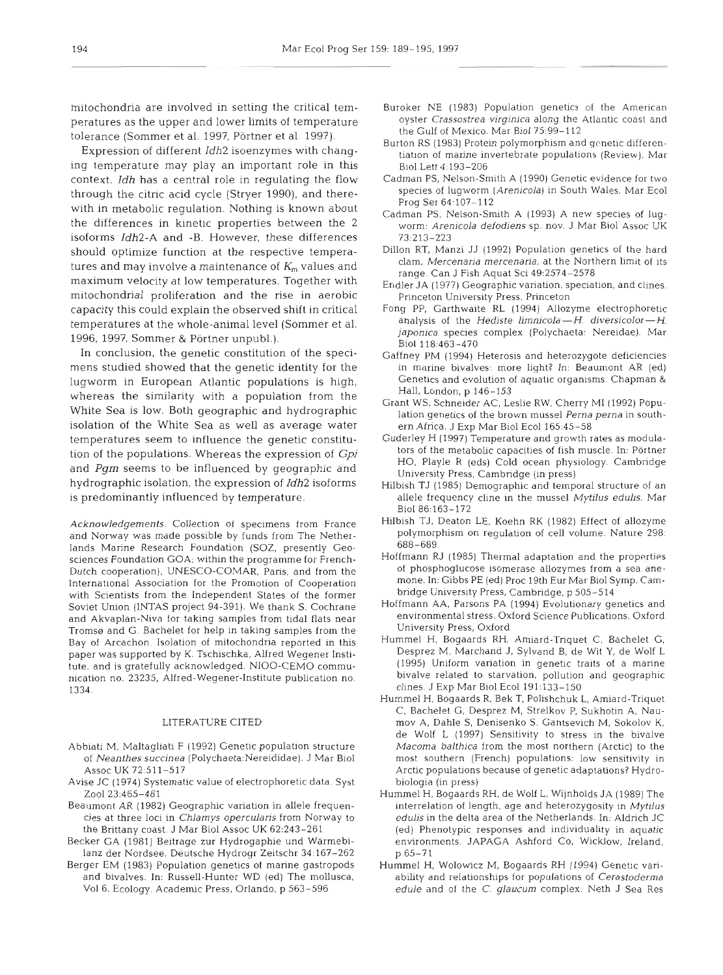mitochondria are involved in setting the critical temperatures as the upper and lower limits of temperature tolerance (Sommer et al. 1997, Portner et al. 1997).

Expression of different *Idh2* isoenzymes with changing temperature may play an important role in this context. *Idh* has a central role in regulating the flow through the citric acid cycle (Stryer 1990), and therewith in metabolic regulation. Nothing is known about the differences in kinetic properties between the 2 isoforms *Idh2-A* and -B. However, these differences should optimize function at the respective temperatures and may involve a maintenance of  $K<sub>m</sub>$  values and maximum velocity at low temperatures. Together with mitochondrial proliferation and the rise in aerobic capacity this could explain the observed shift in critical temperatures at the whole-animal level (Sommer et al. 1996, 1997. Sommer & Portner unpubl.).

In conclusion, the genetic constitution of the specimens studied showed that the genetic identity for the lugworm in European Atlantic populations is high, whereas the similarity with a population from the White Sea is low. Both geographic and hydrographic isolation of the White Sea as well as average water temperatures seem to influence the genetic constitution of the populations. Whereas the expression of **Gpi**  and *Pgm* seems to be influenced by geographic and hydrographic isolation, the expression of *Idh2* isoforms is predominantly influenced by temperature.

Acknowledgements. Collection of specimens from France and Norway was made possible by funds from The Netherlands Marine Research Foundation (SOZ, presently Geosciences Foundation GOA; within the programme for French-Dutch cooperation), UNESCO-COMAR, Paris, and from the International Association for the Promotion of Cooperation with Scientists from the Independent States of the former Soviet Union (INTAS project 94-391). We thank S. Cochrane and Akvaplan-Niva for taking samples from tidal flats near Tromss and G. Bachelet for help in taking samples from the Bay of Arcachon. Isolation of mitochondria reported in this paper was supported by K. Tschischka, Alfred Wegener Institute, and is gratefully acknowledged. NIOO-CEMO communication no. 23235, Alfred-Wegener-Institute publication no 1334.

## LITERATURE CITED

- Abbiati M, Maltagliati F (1992) Genetic population structure of Neanthes succinea (Po1ychaeta:Nereididae). J Mar Biol Assoc UK 72:511-517
- Avise JC (1974) Systematic value of electrophoretic data. Syst Zoo1 23:465-481
- Beaumont AR (1982) Geographic vanation in allele frequencies at three loci in Chlamys opercularis from Norway to the Brittany coast. J Mar Biol Assoc UK 62:243-261
- Becker GA (1981) Beitrage zur Hydrogaphie und Warmebilanz der Nordsee. Deutsche Hydrogr Zeitschr 34:167-262
- Berger EM (1983) Population genetics of marine gastropods and bivalves. In: Russell-Hunter WD (ed) The molluscs, Vol 6. Ecology. Academic Press. Orlando, p 563-596
- Buroker NE (1983) Population genetics of the American oyster Crassostrea virginica along the Atlantic coast and the Gulf of Mexico. Mar Biol 75:99-112
- Burton RS (1983) Protein polymorphism and genetic differentiation of marine invertebrate populations (Review). Mar Biol Lett 4:193-206
- Cadman PS, Nelson-Smith A (1990) Genetic evidence for two species of lugworm (Arenicola) in South Wales. Mar Ecol Prog Ser 64.107-112
- Cadman PS, Nelson-Smith A (1993) A new species of lugworm: Arenicola defodiens sp. nov. J Mar Biol Assoc UK 73:213-223
- Dillon RT, Man21 JJ (1992) Population genetics of the hard clam, Mercenaria mercenaria, at the Northern limit of its range. Can J Fish Aquat Sci 49:2574-2578
- Endler JA (1977) Geographic variation, speciation, and clines. Princeton University Press, Princeton
- Fong PP, Garthwaite RL (1994) Allozyme electrophoretic analysis of the Hediste limnicola  $-H$ . diversicolor  $-H$ . japonica species complex (Polychaeta: Nereidae). Mar Biol 118:463-470
- Gaffney PM (1994) Heterosis and heterozygote deficiencies in marine bivalves: more light? In: Beaumont AR (ed) Genetics and evolution of aquatic organisms. Chapman & Hall, London, p 146-153
- Grant WS, Schneider AC, Leslie RW, Cherry MI (1992) Population genetics of the brown mussel Perna perna in southern Africa. J Exp Mar Biol Ecol 165:45-58
- Guderley H (1997) Temperature and growth rates as modulators of the metabolic capacities of fish muscle. In: Pörtner HO, Playle R (eds) Cold ocean physiology. Cambridge University Press, Cambridge (in press)
- Hilbish TJ (1985) Demographic and temporal structure of an allele frequency cline in the mussel Mytilus edulis. Mar Biol 86:163-172
- Hilbish TJ, Deaton LE. Koehn RK (1982) Effect of allozyme polymorphism on regulation of cell volume. Nature 298: 688-689
- Hoffmann RJ (1985) Thermal adaptation and the properties of phosphoglucose isomerase allozymes from a sea anemone. In: Gibbs PE (ed) Proc 19th Eur Mar Biol Symp. Cambridge University Press, Cambridge, p 505-514
- Hoffmann AA, Parsons PA (1994) Evolutionary genetics and environmental stress. Oxford Science Publications, Oxford University Press, Oxford
- Hummel H, Bogaards RH, Amiard-Triquet C, Bachelet G, Desprez M, Marchand J. Sylvand B, de Wit Y, de Wolf L (1995) Uniform variation in genetic traits of a marine bivalve related to starvation, pollution and geographic clines. J Exp Mar Biol Ecol 191:133-150
- Hurnmel H, Bogaards R, Bek T, Polishchuk L, Amiard-Triquet C, Bachelet G, Desprez M, Strelkov P, Sukhotin A, Naumov A, Dahle S, Denisenko S, Gantsevich M, Sokolov K, de Wolf L (1997) Sensitivity to stress in the bivalve Macoma balthica from the most northern (Arctic) to the most southern (French) populations: low sensitivity in Arctic populations because of genetic adaptations? Hydrobiologia (in press)
- Hummel H, Bogaards RH, de Wolf L, Wijnholds JA (1989) The interrelation of length, age and heterozygosity in Mytilus edulis in the delta area of the Netherlands. In: Aldrich JC (ed) Phenotypic responses and individuality in aquatic environments. JAPAGA Ashford CO, Wicklow, Ireland, p 65-71
- Hummel H, Wolowicz M, Bogaards RH (1994) Genetic variability and relationships for populations of Cerastoderma edule and of the C. glaucum complex. Neth J Sea Res